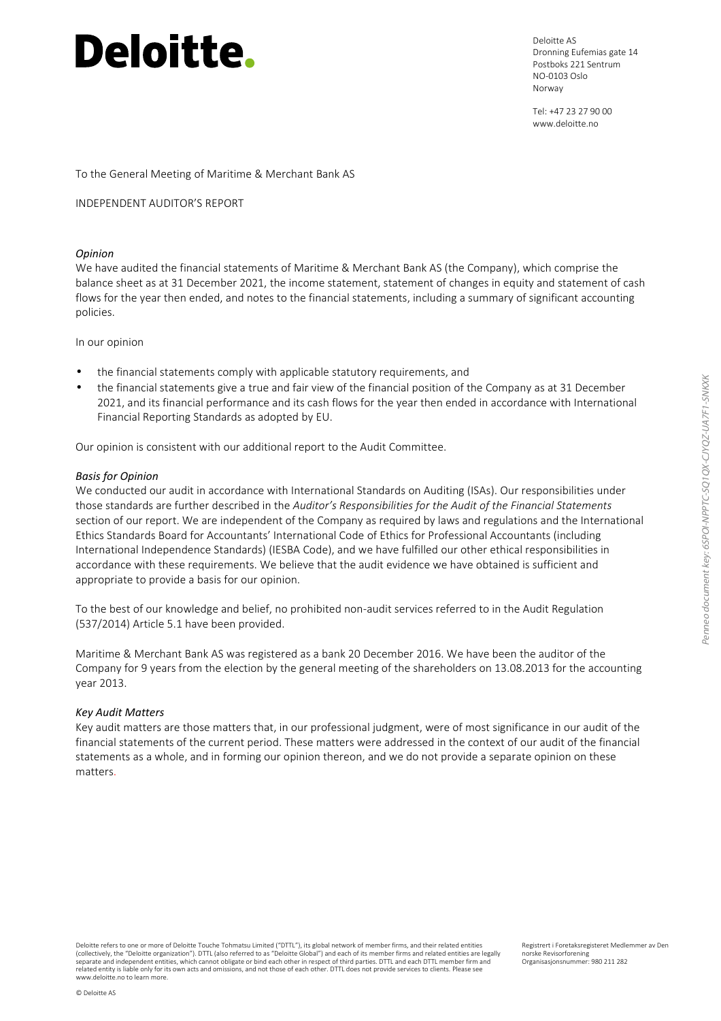# **Deloitte.**

Deloitte AS Dronning Eufemias gate 14 Postboks 221 Sentrum NO-0103 Oslo Norway

Tel: +47 23 27 90 00 www.deloitte.no

#### INDEPENDENT AUDITOR'S REPORT

#### *Opinion*

We have audited the financial statements of Maritime & Merchant Bank AS (the Company), which comprise the balance sheet as at 31 December 2021, the income statement, statement of changes in equity and statement of cash flows for the year then ended, and notes to the financial statements, including a summary of significant accounting policies.

In our opinion

- the financial statements comply with applicable statutory requirements, and
- the financial statements give a true and fair view of the financial position of the Company as at 31 December 2021, and its financial performance and its cash flows for the year then ended in accordance with International Financial Reporting Standards as adopted by EU.

Our opinion is consistent with our additional report to the Audit Committee.

#### *Basis for Opinion*

We conducted our audit in accordance with International Standards on Auditing (ISAs). Our responsibilities under those standards are further described in the *Auditor's Responsibilities for the Audit of the Financial Statements* section of our report. We are independent of the Company as required by laws and regulations and the International Ethics Standards Board for Accountants' International Code of Ethics for Professional Accountants (including International Independence Standards) (IESBA Code), and we have fulfilled our other ethical responsibilities in accordance with these requirements. We believe that the audit evidence we have obtained is sufficient and appropriate to provide a basis for our opinion.

To the best of our knowledge and belief, no prohibited non-audit services referred to in the Audit Regulation (537/2014) Article 5.1 have been provided.

Maritime & Merchant Bank AS was registered as a bank 20 December 2016. We have been the auditor of the Company for 9 years from the election by the general meeting of the shareholders on 13.08.2013 for the accounting year 2013.

#### *Key Audit Matters*

Key audit matters are those matters that, in our professional judgment, were of most significance in our audit of the financial statements of the current period. These matters were addressed in the context of our audit of the financial statements as a whole, and in forming our opinion thereon, and we do not provide a separate opinion on these matters.

Deloitte refers to one or more of Deloitte Touche Tohmatsu Limited ("DTTL"), its global network of member firms, and their related entities (collectively, the "Deloitte organization"). DTTL (also referred to as "Deloitte Global") and each of its member firms and related entities are legally<br>separate and independent entities, which cannot obligate or bind each related entity is liable only for its own acts and omissions, and not those of each other. DTTL does not provide services to clients. Please see www.deloitte.no to learn more.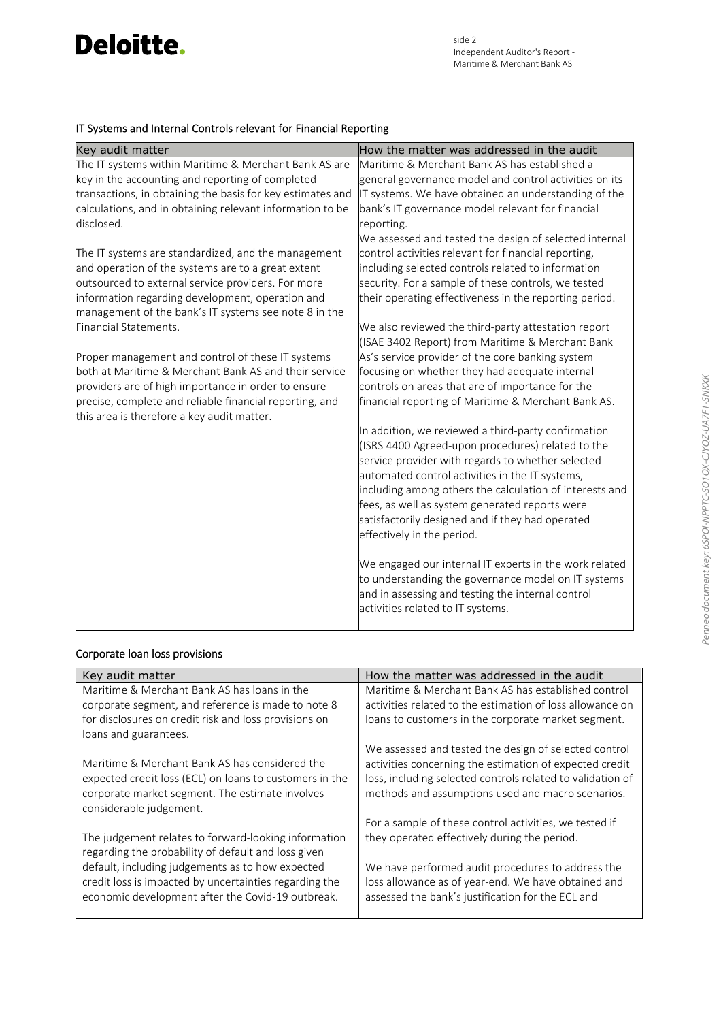# **Deloitte.**

## IT Systems and Internal Controls relevant for Financial Reporting

| Key audit matter                                                                                                                                                                                                                                                                                                                                                                                                                                                           | How the matter was addressed in the audit                                                                                                                                                                                                                                                                                                                                                                                                                                                                                                                  |
|----------------------------------------------------------------------------------------------------------------------------------------------------------------------------------------------------------------------------------------------------------------------------------------------------------------------------------------------------------------------------------------------------------------------------------------------------------------------------|------------------------------------------------------------------------------------------------------------------------------------------------------------------------------------------------------------------------------------------------------------------------------------------------------------------------------------------------------------------------------------------------------------------------------------------------------------------------------------------------------------------------------------------------------------|
| The IT systems within Maritime & Merchant Bank AS are                                                                                                                                                                                                                                                                                                                                                                                                                      | Maritime & Merchant Bank AS has established a                                                                                                                                                                                                                                                                                                                                                                                                                                                                                                              |
| key in the accounting and reporting of completed                                                                                                                                                                                                                                                                                                                                                                                                                           | general governance model and control activities on its                                                                                                                                                                                                                                                                                                                                                                                                                                                                                                     |
| transactions, in obtaining the basis for key estimates and                                                                                                                                                                                                                                                                                                                                                                                                                 | IT systems. We have obtained an understanding of the                                                                                                                                                                                                                                                                                                                                                                                                                                                                                                       |
| calculations, and in obtaining relevant information to be                                                                                                                                                                                                                                                                                                                                                                                                                  | bank's IT governance model relevant for financial                                                                                                                                                                                                                                                                                                                                                                                                                                                                                                          |
| disclosed.                                                                                                                                                                                                                                                                                                                                                                                                                                                                 | reporting.                                                                                                                                                                                                                                                                                                                                                                                                                                                                                                                                                 |
| The IT systems are standardized, and the management<br>and operation of the systems are to a great extent<br>outsourced to external service providers. For more<br>information regarding development, operation and<br>management of the bank's IT systems see note 8 in the<br>Financial Statements.<br>Proper management and control of these IT systems<br>both at Maritime & Merchant Bank AS and their service<br>providers are of high importance in order to ensure | We assessed and tested the design of selected internal<br>control activities relevant for financial reporting,<br>including selected controls related to information<br>security. For a sample of these controls, we tested<br>their operating effectiveness in the reporting period.<br>We also reviewed the third-party attestation report<br>(ISAE 3402 Report) from Maritime & Merchant Bank<br>As's service provider of the core banking system<br>focusing on whether they had adequate internal<br>controls on areas that are of importance for the |
| precise, complete and reliable financial reporting, and<br>this area is therefore a key audit matter.                                                                                                                                                                                                                                                                                                                                                                      | financial reporting of Maritime & Merchant Bank AS.                                                                                                                                                                                                                                                                                                                                                                                                                                                                                                        |
|                                                                                                                                                                                                                                                                                                                                                                                                                                                                            | In addition, we reviewed a third-party confirmation<br>(ISRS 4400 Agreed-upon procedures) related to the<br>service provider with regards to whether selected<br>automated control activities in the IT systems,<br>including among others the calculation of interests and<br>fees, as well as system generated reports were<br>satisfactorily designed and if they had operated<br>effectively in the period.                                                                                                                                            |
|                                                                                                                                                                                                                                                                                                                                                                                                                                                                            | We engaged our internal IT experts in the work related<br>to understanding the governance model on IT systems<br>and in assessing and testing the internal control<br>activities related to IT systems.                                                                                                                                                                                                                                                                                                                                                    |

### Corporate loan loss provisions

| Key audit matter                                        | How the matter was addressed in the audit                  |
|---------------------------------------------------------|------------------------------------------------------------|
| Maritime & Merchant Bank AS has loans in the            | Maritime & Merchant Bank AS has established control        |
| corporate segment, and reference is made to note 8      | activities related to the estimation of loss allowance on  |
| for disclosures on credit risk and loss provisions on   | loans to customers in the corporate market segment.        |
| loans and guarantees.                                   |                                                            |
|                                                         | We assessed and tested the design of selected control      |
| Maritime & Merchant Bank AS has considered the          | activities concerning the estimation of expected credit    |
| expected credit loss (ECL) on loans to customers in the | loss, including selected controls related to validation of |
| corporate market segment. The estimate involves         | methods and assumptions used and macro scenarios.          |
| considerable judgement.                                 |                                                            |
|                                                         | For a sample of these control activities, we tested if     |
| The judgement relates to forward-looking information    | they operated effectively during the period.               |
| regarding the probability of default and loss given     |                                                            |
| default, including judgements as to how expected        | We have performed audit procedures to address the          |
| credit loss is impacted by uncertainties regarding the  | loss allowance as of year-end. We have obtained and        |
| economic development after the Covid-19 outbreak.       | assessed the bank's justification for the ECL and          |
|                                                         |                                                            |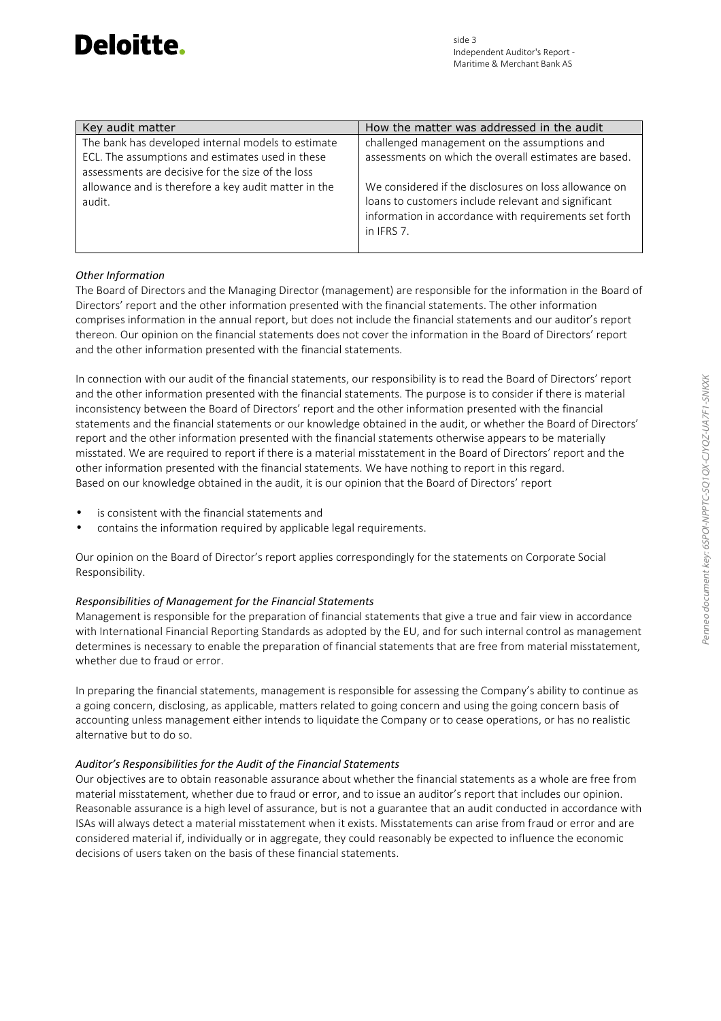| Key audit matter                                                                                      | How the matter was addressed in the audit                                                                                                                                           |
|-------------------------------------------------------------------------------------------------------|-------------------------------------------------------------------------------------------------------------------------------------------------------------------------------------|
| The bank has developed internal models to estimate                                                    | challenged management on the assumptions and                                                                                                                                        |
| ECL. The assumptions and estimates used in these<br>assessments are decisive for the size of the loss | assessments on which the overall estimates are based.                                                                                                                               |
| allowance and is therefore a key audit matter in the<br>audit.                                        | We considered if the disclosures on loss allowance on<br>loans to customers include relevant and significant<br>information in accordance with requirements set forth<br>in IFRS 7. |

### *Other Information*

The Board of Directors and the Managing Director (management) are responsible for the information in the Board of Directors' report and the other information presented with the financial statements. The other information comprises information in the annual report, but does not include the financial statements and our auditor's report thereon. Our opinion on the financial statements does not cover the information in the Board of Directors' report and the other information presented with the financial statements.

In connection with our audit of the financial statements, our responsibility is to read the Board of Directors' report and the other information presented with the financial statements. The purpose is to consider if there is material inconsistency between the Board of Directors' report and the other information presented with the financial statements and the financial statements or our knowledge obtained in the audit, or whether the Board of Directors' report and the other information presented with the financial statements otherwise appears to be materially misstated. We are required to report if there is a material misstatement in the Board of Directors' report and the other information presented with the financial statements. We have nothing to report in this regard. Based on our knowledge obtained in the audit, it is our opinion that the Board of Directors' report

- is consistent with the financial statements and
- contains the information required by applicable legal requirements.

Our opinion on the Board of Director's report applies correspondingly for the statements on Corporate Social Responsibility.

### *Responsibilities of Management for the Financial Statements*

Management is responsible for the preparation of financial statements that give a true and fair view in accordance with International Financial Reporting Standards as adopted by the EU, and for such internal control as management determines is necessary to enable the preparation of financial statements that are free from material misstatement, whether due to fraud or error.

In preparing the financial statements, management is responsible for assessing the Company's ability to continue as a going concern, disclosing, as applicable, matters related to going concern and using the going concern basis of accounting unless management either intends to liquidate the Company or to cease operations, or has no realistic alternative but to do so.

### *Auditor's Responsibilities for the Audit of the Financial Statements*

Our objectives are to obtain reasonable assurance about whether the financial statements as a whole are free from material misstatement, whether due to fraud or error, and to issue an auditor's report that includes our opinion. Reasonable assurance is a high level of assurance, but is not a guarantee that an audit conducted in accordance with ISAs will always detect a material misstatement when it exists. Misstatements can arise from fraud or error and are considered material if, individually or in aggregate, they could reasonably be expected to influence the economic decisions of users taken on the basis of these financial statements.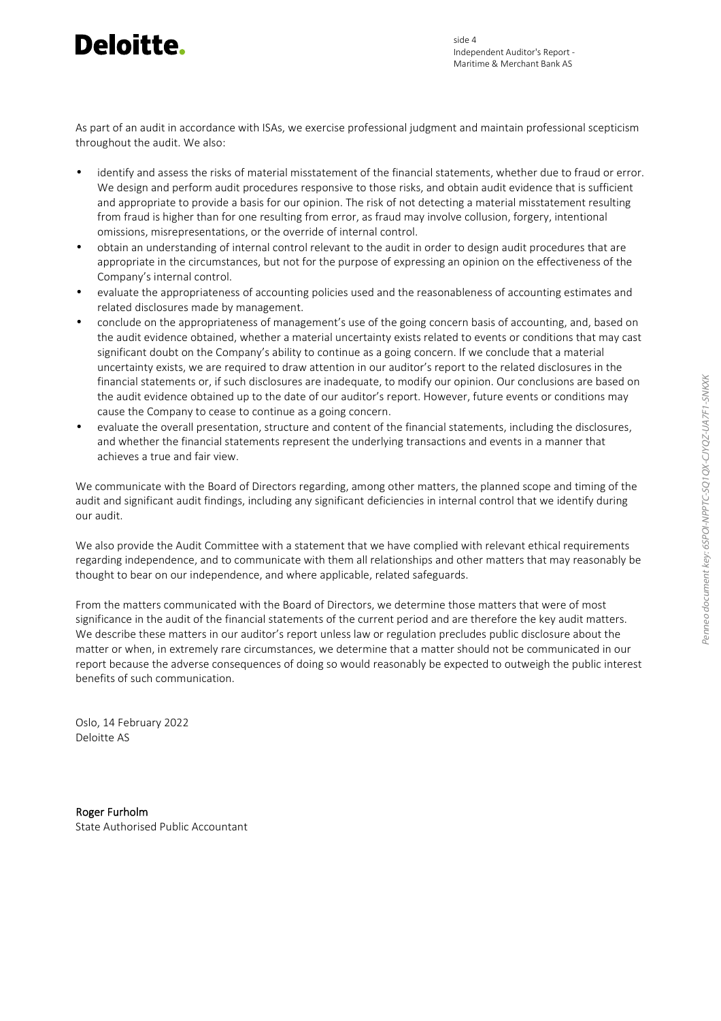# Deloitte.

As part of an audit in accordance with ISAs, we exercise professional judgment and maintain professional scepticism throughout the audit. We also:

- identify and assess the risks of material misstatement of the financial statements, whether due to fraud or error. We design and perform audit procedures responsive to those risks, and obtain audit evidence that is sufficient and appropriate to provide a basis for our opinion. The risk of not detecting a material misstatement resulting from fraud is higher than for one resulting from error, as fraud may involve collusion, forgery, intentional omissions, misrepresentations, or the override of internal control.
- obtain an understanding of internal control relevant to the audit in order to design audit procedures that are appropriate in the circumstances, but not for the purpose of expressing an opinion on the effectiveness of the Company's internal control.
- evaluate the appropriateness of accounting policies used and the reasonableness of accounting estimates and related disclosures made by management.
- conclude on the appropriateness of management's use of the going concern basis of accounting, and, based on the audit evidence obtained, whether a material uncertainty exists related to events or conditions that may cast significant doubt on the Company's ability to continue as a going concern. If we conclude that a material uncertainty exists, we are required to draw attention in our auditor's report to the related disclosures in the financial statements or, if such disclosures are inadequate, to modify our opinion. Our conclusions are based on the audit evidence obtained up to the date of our auditor's report. However, future events or conditions may cause the Company to cease to continue as a going concern.
- evaluate the overall presentation, structure and content of the financial statements, including the disclosures, and whether the financial statements represent the underlying transactions and events in a manner that achieves a true and fair view.

We communicate with the Board of Directors regarding, among other matters, the planned scope and timing of the audit and significant audit findings, including any significant deficiencies in internal control that we identify during our audit.

We also provide the Audit Committee with a statement that we have complied with relevant ethical requirements regarding independence, and to communicate with them all relationships and other matters that may reasonably be thought to bear on our independence, and where applicable, related safeguards.

From the matters communicated with the Board of Directors, we determine those matters that were of most significance in the audit of the financial statements of the current period and are therefore the key audit matters. We describe these matters in our auditor's report unless law or regulation precludes public disclosure about the matter or when, in extremely rare circumstances, we determine that a matter should not be communicated in our report because the adverse consequences of doing so would reasonably be expected to outweigh the public interest benefits of such communication.

Oslo, 14 February 2022 Deloitte AS

Roger Furholm State Authorised Public Accountant